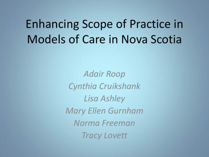# Enhancing Scope of Practice in Models of Care in Nova Scotia

*Adair Roop Cynthia Cruikshank Lisa Ashley Mary Ellen Gurnham Norma Freeman Tracy Lovett*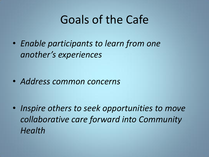## Goals of the Cafe

• *Enable participants to learn from one another's experiences*

• *Address common concerns*

• *Inspire others to seek opportunities to move collaborative care forward into Community Health*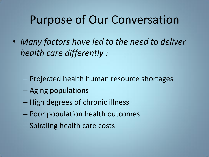## Purpose of Our Conversation

• *Many factors have led to the need to deliver health care differently :*

- Projected health human resource shortages
- Aging populations
- High degrees of chronic illness
- Poor population health outcomes
- Spiraling health care costs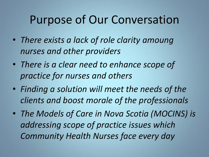## Purpose of Our Conversation

- *There exists a lack of role clarity amoung nurses and other providers*
- *There is a clear need to enhance scope of practice for nurses and others*
- *Finding a solution will meet the needs of the clients and boost morale of the professionals*
- *The Models of Care in Nova Scotia (MOCINS) is addressing scope of practice issues which Community Health Nurses face every day*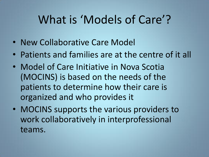# What is 'Models of Care'?

- New Collaborative Care Model
- Patients and families are at the centre of it all
- Model of Care Initiative in Nova Scotia (MOCINS) is based on the needs of the patients to determine how their care is organized and who provides it
- MOCINS supports the various providers to work collaboratively in interprofessional teams.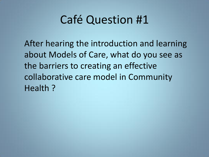## Café Question #1

After hearing the introduction and learning about Models of Care, what do you see as the barriers to creating an effective collaborative care model in Community Health ?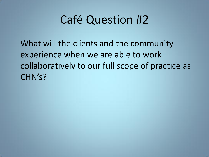## Café Question #2

What will the clients and the community experience when we are able to work collaboratively to our full scope of practice as CHN's?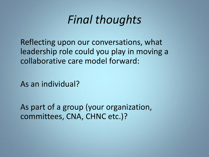

Reflecting upon our conversations, what leadership role could you play in moving a collaborative care model forward:

As an individual?

As part of a group (your organization, committees, CNA, CHNC etc.)?